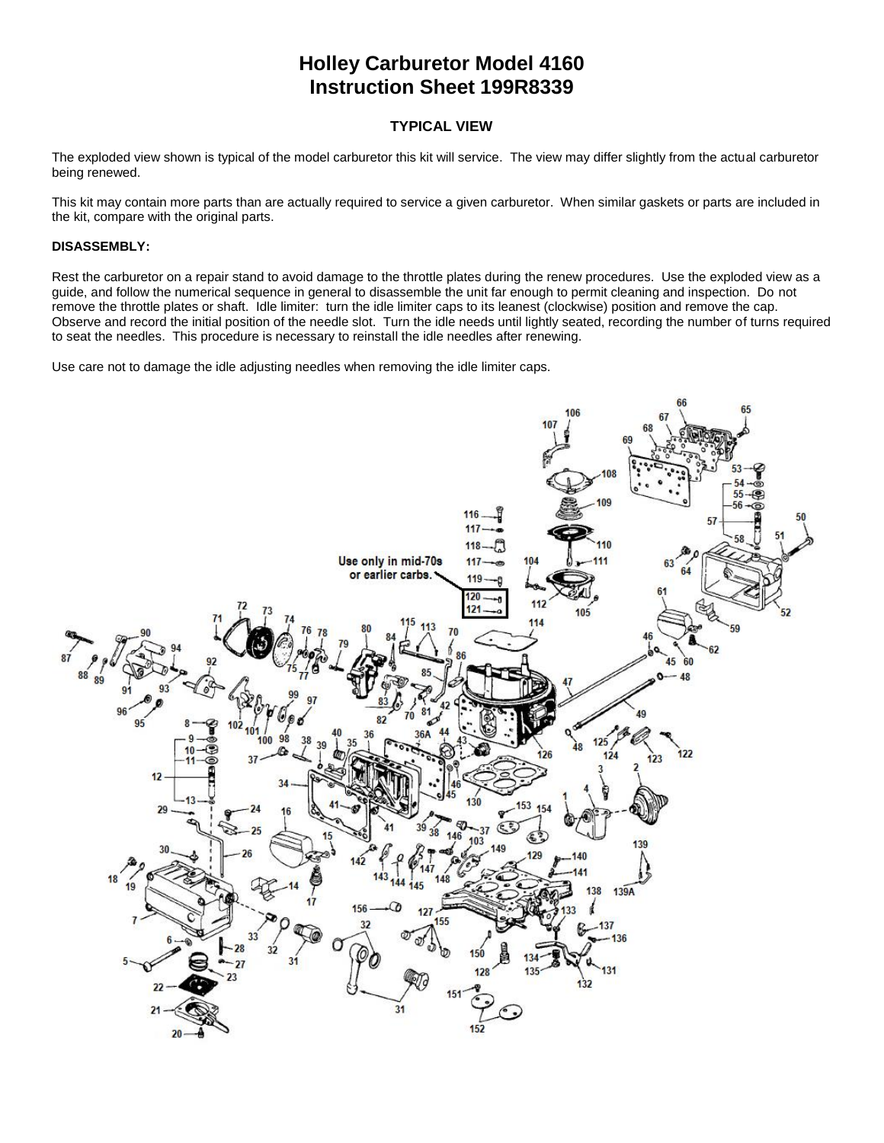# **Holley Carburetor Model 4160 Instruction Sheet 199R8339**

## **TYPICAL VIEW**

The exploded view shown is typical of the model carburetor this kit will service. The view may differ slightly from the actual carburetor being renewed.

This kit may contain more parts than are actually required to service a given carburetor. When similar gaskets or parts are included in the kit, compare with the original parts.

## **DISASSEMBLY:**

Rest the carburetor on a repair stand to avoid damage to the throttle plates during the renew procedures. Use the exploded view as a guide, and follow the numerical sequence in general to disassemble the unit far enough to permit cleaning and inspection. Do not remove the throttle plates or shaft. Idle limiter: turn the idle limiter caps to its leanest (clockwise) position and remove the cap. Observe and record the initial position of the needle slot. Turn the idle needs until lightly seated, recording the number of turns required to seat the needles. This procedure is necessary to reinstall the idle needles after renewing.

Use care not to damage the idle adjusting needles when removing the idle limiter caps.

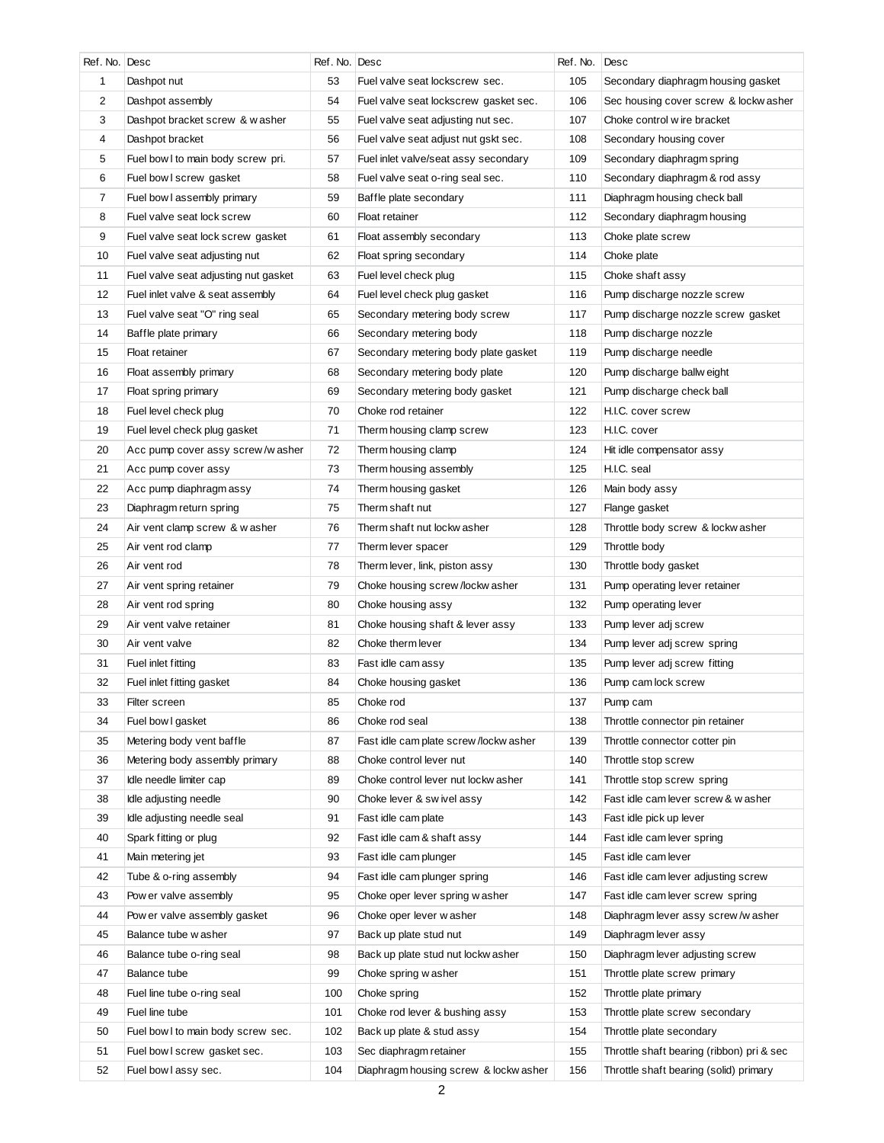| Ref. No. Desc  |                                      | Ref. No. Desc |                                        | Ref. No. | Desc                                      |
|----------------|--------------------------------------|---------------|----------------------------------------|----------|-------------------------------------------|
| 1              | Dashpot nut                          | 53            | Fuel valve seat lockscrew sec.         | 105      | Secondary diaphragm housing gasket        |
| 2              | Dashpot assembly                     | 54            | Fuel valve seat lockscrew gasket sec.  | 106      | Sec housing cover screw & lockw asher     |
| 3              | Dashpot bracket screw & washer       | 55            | Fuel valve seat adjusting nut sec.     | 107      | Choke control w ire bracket               |
| 4              | Dashpot bracket                      | 56            | Fuel valve seat adjust nut gskt sec.   | 108      | Secondary housing cover                   |
| 5              | Fuel bow I to main body screw pri.   | 57            | Fuel inlet valve/seat assy secondary   | 109      | Secondary diaphragm spring                |
| 6              | Fuel bow I screw gasket              | 58            | Fuel valve seat o-ring seal sec.       | 110      | Secondary diaphragm & rod assy            |
| $\overline{7}$ | Fuel bow I assembly primary          | 59            | Baffle plate secondary                 | 111      | Diaphragm housing check ball              |
| 8              | Fuel valve seat lock screw           | 60            | Float retainer                         | 112      | Secondary diaphragm housing               |
| 9              | Fuel valve seat lock screw gasket    | 61            | Float assembly secondary               | 113      | Choke plate screw                         |
| 10             | Fuel valve seat adjusting nut        | 62            | Float spring secondary                 | 114      | Choke plate                               |
| 11             | Fuel valve seat adjusting nut gasket | 63            | Fuel level check plug                  | 115      | Choke shaft assy                          |
| 12             | Fuel inlet valve & seat assembly     | 64            | Fuel level check plug gasket           | 116      | Pump discharge nozzle screw               |
| 13             | Fuel valve seat "O" ring seal        | 65            | Secondary metering body screw          | 117      | Pump discharge nozzle screw gasket        |
| 14             | Baffle plate primary                 | 66            | Secondary metering body                | 118      | Pump discharge nozzle                     |
| 15             | Float retainer                       | 67            | Secondary metering body plate gasket   | 119      | Pump discharge needle                     |
| 16             | Float assembly primary               | 68            | Secondary metering body plate          | 120      | Pump discharge ballw eight                |
| 17             | Float spring primary                 | 69            | Secondary metering body gasket         | 121      | Pump discharge check ball                 |
| 18             | Fuel level check plug                | 70            | Choke rod retainer                     | 122      | H.I.C. cover screw                        |
| 19             | Fuel level check plug gasket         | 71            | Therm housing clamp screw              | 123      | H.I.C. cover                              |
| 20             | Acc pump cover assy screw/w asher    | 72            | Therm housing clamp                    | 124      | Hit idle compensator assy                 |
| 21             | Acc pump cover assy                  | 73            | Therm housing assembly                 | 125      | H.I.C. seal                               |
| 22             | Acc pump diaphragm assy              | 74            | Therm housing gasket                   | 126      | Main body assy                            |
| 23             | Diaphragm return spring              | 75            | Therm shaft nut                        | 127      | Flange gasket                             |
| 24             | Air vent clamp screw & washer        | 76            | Therm shaft nut lockw asher            | 128      | Throttle body screw & lockw asher         |
| 25             | Air vent rod clamp                   | 77            | Therm lever spacer                     | 129      | Throttle body                             |
| 26             | Air vent rod                         | 78            | Therm lever, link, piston assy         | 130      | Throttle body gasket                      |
| 27             | Air vent spring retainer             | 79            | Choke housing screw /lockw asher       | 131      | Pump operating lever retainer             |
| 28             | Air vent rod spring                  | 80            | Choke housing assy                     | 132      | Pump operating lever                      |
| 29             | Air vent valve retainer              | 81            | Choke housing shaft & lever assy       | 133      | Pump lever adj screw                      |
| 30             | Air vent valve                       | 82            | Choke therm lever                      | 134      | Pump lever adj screw spring               |
| 31             | Fuel inlet fitting                   | 83            | Fast idle cam assy                     | 135      | Pump lever adj screw fitting              |
| 32             | Fuel inlet fitting gasket            | 84            | Choke housing gasket                   | 136      | Pump cam lock screw                       |
| 33             | Filter screen                        | 85            | Choke rod                              | 137      | Pump cam                                  |
| 34             | Fuel bow I gasket                    | 86            | Choke rod seal                         | 138      | Throttle connector pin retainer           |
| 35             | Metering body vent baffle            | 87            | Fast idle cam plate screw /lockw asher | 139      | Throttle connector cotter pin             |
| 36             | Metering body assembly primary       | 88            | Choke control lever nut                | 140      | Throttle stop screw                       |
| 37             | Idle needle limiter cap              | 89            | Choke control lever nut lockw asher    | 141      | Throttle stop screw spring                |
| 38             | Idle adjusting needle                | 90            | Choke lever & swivel assy              | 142      | Fast idle cam lever screw & w asher       |
| 39             | Idle adjusting needle seal           | 91            | Fast idle cam plate                    | 143      | Fast idle pick up lever                   |
| 40             | Spark fitting or plug                | 92            | Fast idle cam & shaft assy             | 144      | Fast idle cam lever spring                |
| 41             | Main metering jet                    | 93            | Fast idle cam plunger                  | 145      | Fast idle cam lever                       |
| 42             | Tube & o-ring assembly               | 94            | Fast idle cam plunger spring           | 146      | Fast idle cam lever adjusting screw       |
| 43             | Pow er valve assembly                | 95            | Choke oper lever spring w asher        | 147      | Fast idle cam lever screw spring          |
| 44             | Pow er valve assembly gasket         | 96            | Choke oper lever washer                | 148      | Diaphragm lever assy screw/washer         |
| 45             | Balance tube w asher                 | 97            | Back up plate stud nut                 | 149      | Diaphragm lever assy                      |
| 46             | Balance tube o-ring seal             | 98            | Back up plate stud nut lockw asher     | 150      | Diaphragm lever adjusting screw           |
| 47             | Balance tube                         | 99            | Choke spring washer                    | 151      | Throttle plate screw primary              |
| 48             |                                      | 100           |                                        | 152      |                                           |
|                | Fuel line tube o-ring seal           |               | Choke spring                           |          | Throttle plate primary                    |
| 49             | Fuel line tube                       | 101           | Choke rod lever & bushing assy         | 153      | Throttle plate screw secondary            |
| 50             | Fuel bow I to main body screw sec.   | 102           | Back up plate & stud assy              | 154      | Throttle plate secondary                  |
| 51             | Fuel bow I screw gasket sec.         | 103           | Sec diaphragm retainer                 | 155      | Throttle shaft bearing (ribbon) pri & sec |
| 52             | Fuel bow I assy sec.                 | 104           | Diaphragm housing screw & lockw asher  | 156      | Throttle shaft bearing (solid) primary    |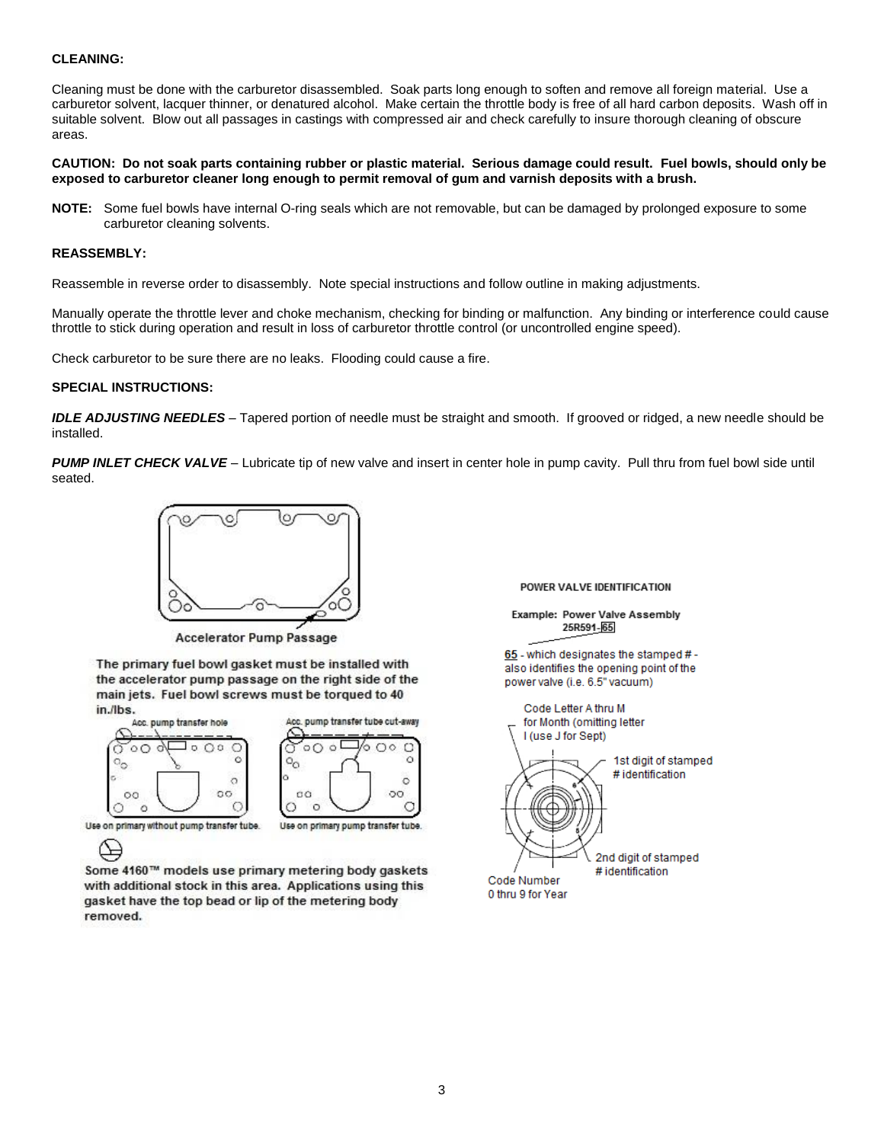## **CLEANING:**

Cleaning must be done with the carburetor disassembled. Soak parts long enough to soften and remove all foreign material. Use a carburetor solvent, lacquer thinner, or denatured alcohol. Make certain the throttle body is free of all hard carbon deposits. Wash off in suitable solvent. Blow out all passages in castings with compressed air and check carefully to insure thorough cleaning of obscure areas.

**CAUTION: Do not soak parts containing rubber or plastic material. Serious damage could result. Fuel bowls, should only be exposed to carburetor cleaner long enough to permit removal of gum and varnish deposits with a brush.**

**NOTE:** Some fuel bowls have internal O-ring seals which are not removable, but can be damaged by prolonged exposure to some carburetor cleaning solvents.

### **REASSEMBLY:**

Reassemble in reverse order to disassembly. Note special instructions and follow outline in making adjustments.

Manually operate the throttle lever and choke mechanism, checking for binding or malfunction. Any binding or interference could cause throttle to stick during operation and result in loss of carburetor throttle control (or uncontrolled engine speed).

Check carburetor to be sure there are no leaks. Flooding could cause a fire.

#### **SPECIAL INSTRUCTIONS:**

*IDLE ADJUSTING NEEDLES* – Tapered portion of needle must be straight and smooth. If grooved or ridged, a new needle should be installed.

*PUMP INLET CHECK VALVE* – Lubricate tip of new valve and insert in center hole in pump cavity. Pull thru from fuel bowl side until seated.



**Accelerator Pump Passage** 

The primary fuel bowl gasket must be installed with the accelerator pump passage on the right side of the main jets. Fuel bowl screws must be torqued to 40 in./lbs.





Use on primary without pump transfer tube.

```
ఆ
```
Use on primary pump transfer tube.

Some 4160™ models use primary metering body gaskets with additional stock in this area. Applications using this gasket have the top bead or lip of the metering body removed.

#### POWER VALVE IDENTIFICATION

Example: Power Valve Assembly 25R591-65

65 - which designates the stamped # also identifies the opening point of the power valve (i.e. 6.5" vacuum)

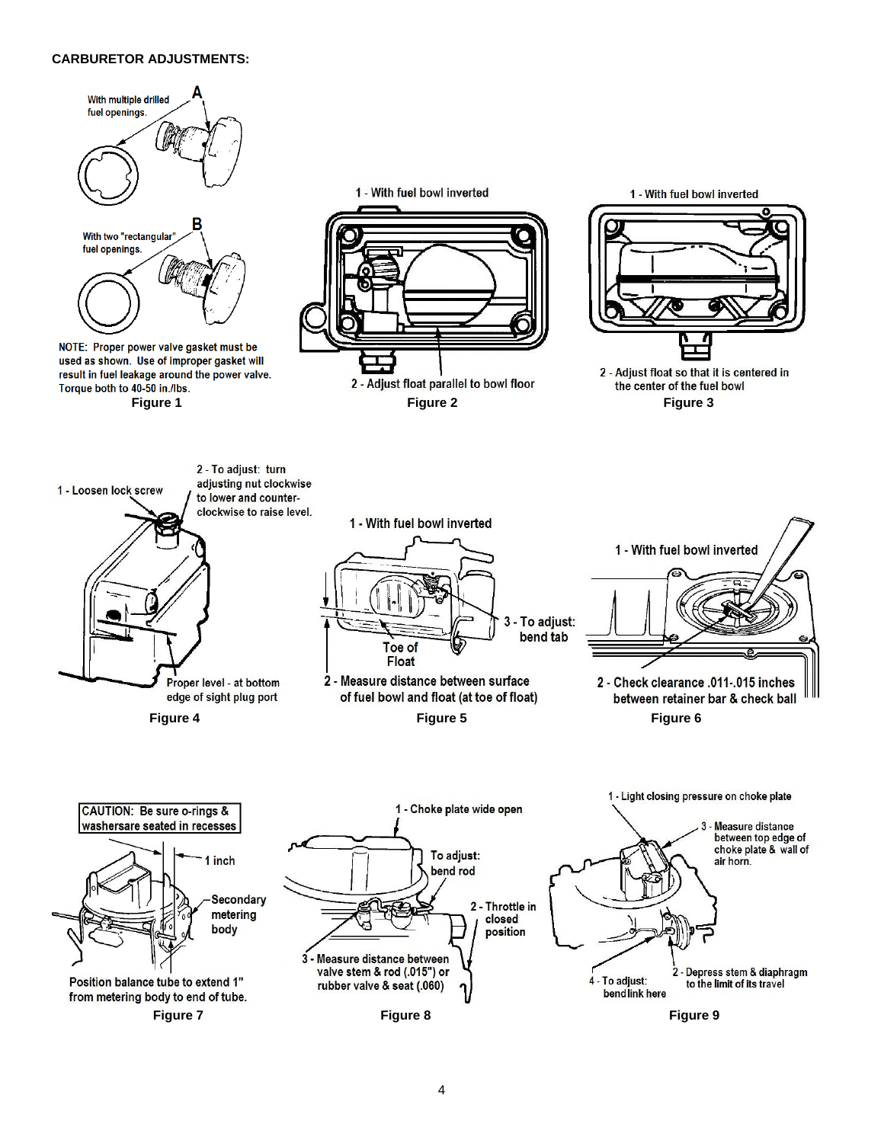## **CARBURETOR ADJUSTMENTS:**

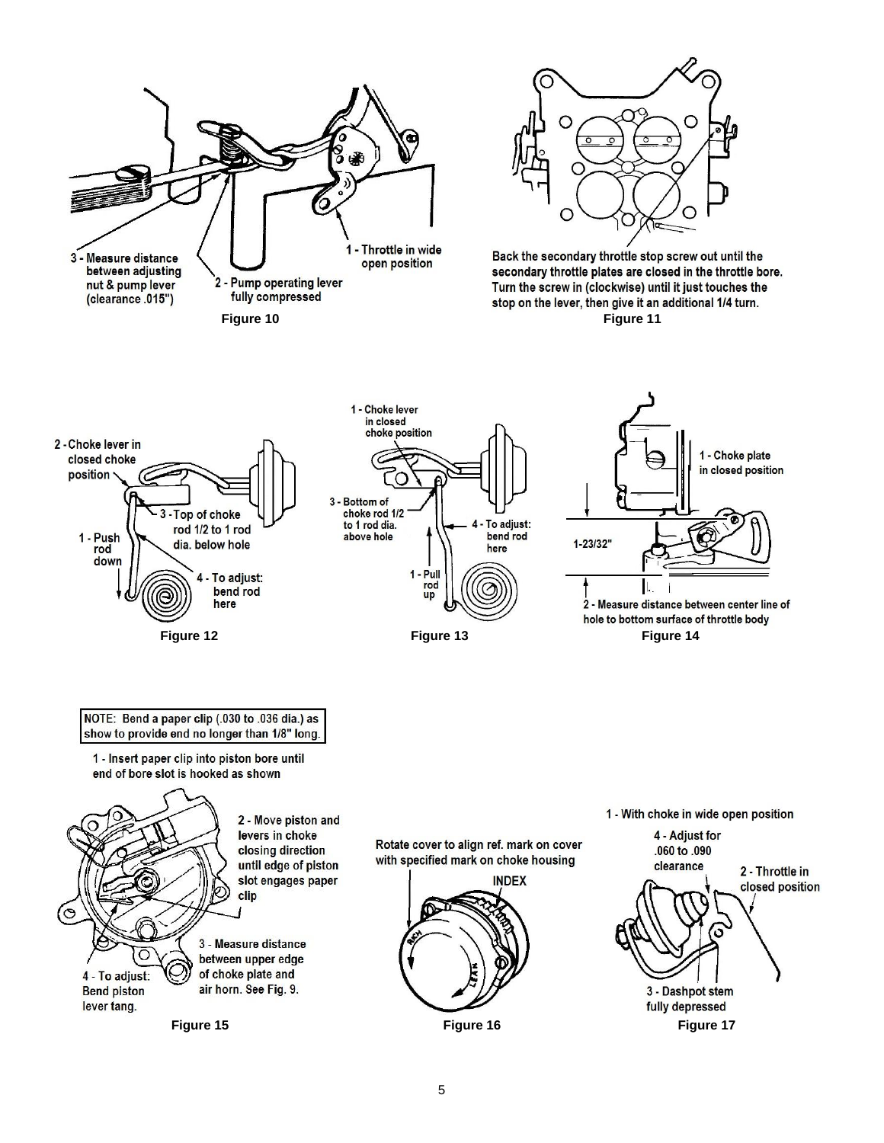



Back the secondary throttle stop screw out until the secondary throttle plates are closed in the throttle bore. Turn the screw in (clockwise) until it just touches the stop on the lever, then give it an additional 1/4 turn.